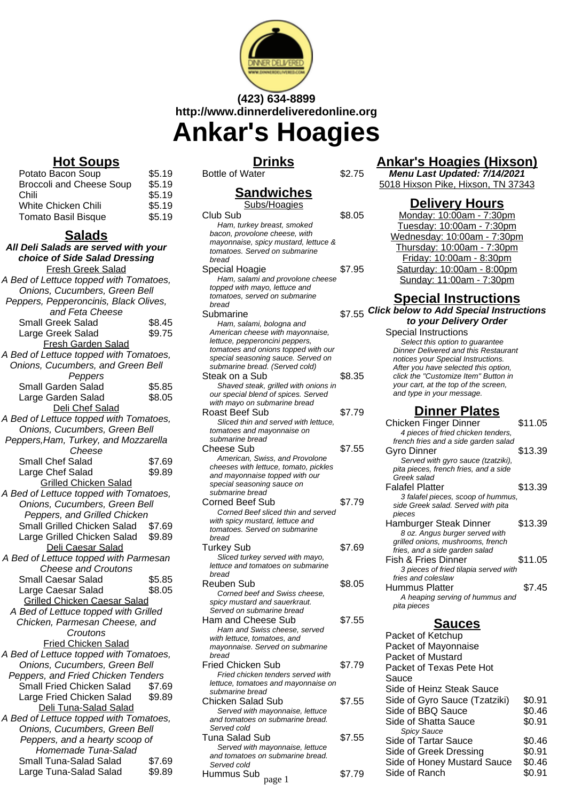

# **(423) 634-8899 http://www.dinnerdeliveredonline.org Ankar's Hoagies**

**Sandwiches**

## **Drinks**

Bottle of Water \$2.75

## **Hot Soups**

| Potato Bacon Soup               | \$5.19 |
|---------------------------------|--------|
| <b>Broccoli and Cheese Soup</b> | \$5.19 |
| Chili                           | \$5.19 |
| White Chicken Chili             | \$5.19 |
| <b>Tomato Basil Bisque</b>      | \$5.19 |
|                                 |        |

#### **Salads**

| choice of Side Salad Dressing<br><b>Fresh Greek Salad</b><br>A Bed of Lettuce topped with Tomatoes,<br>Onions, Cucumbers, Green Bell<br>Peppers, Pepperoncinis, Black Olives,<br>and Feta Cheese<br>\$8.45<br><b>Small Greek Salad</b><br>\$9.75<br>Large Greek Salad<br><b>Fresh Garden Salad</b><br>A Bed of Lettuce topped with Tomatoes,<br>Onions, Cucumbers, and Green Bell<br>Peppers<br>Small Garden Salad<br>\$5.85<br>\$8.05<br>Large Garden Salad<br>Deli Chef Salad<br>A Bed of Lettuce topped with Tomatoes,<br>Onions, Cucumbers, Green Bell<br>Peppers, Ham, Turkey, and Mozzarella<br>Cheese<br>Small Chef Salad<br>\$7.69<br>Large Chef Salad<br>\$9.89<br><b>Grilled Chicken Salad</b><br>A Bed of Lettuce topped with Tomatoes,<br>Onions, Cucumbers, Green Bell<br>Peppers, and Grilled Chicken<br>Small Grilled Chicken Salad \$7.69<br>Large Grilled Chicken Salad \$9.89<br>Deli Caesar Salad<br>A Bed of Lettuce topped with Parmesan<br><b>Cheese and Croutons</b><br><b>Small Caesar Salad</b><br>\$5.85<br>Large Caesar Salad<br>\$8.05<br><b>Grilled Chicken Caesar Salad</b><br>A Bed of Lettuce topped with Grilled<br>Chicken, Parmesan Cheese, and<br>Croutons<br><b>Fried Chicken Salad</b><br>A Bed of Lettuce topped with Tomatoes,<br>Onions, Cucumbers, Green Bell<br>Peppers, and Fried Chicken Tenders<br>Small Fried Chicken Salad<br>\$7.69<br>Large Fried Chicken Salad<br>\$9.89<br>Deli Tuna-Salad Salad<br>A Bed of Lettuce topped with Tomatoes,<br>Onions, Cucumbers, Green Bell<br>Peppers, and a hearty scoop of<br>Homemade Tuna-Salad<br>Small Tuna-Salad Salad<br>\$7.69 | All Deli Salads are served with your |        |
|------------------------------------------------------------------------------------------------------------------------------------------------------------------------------------------------------------------------------------------------------------------------------------------------------------------------------------------------------------------------------------------------------------------------------------------------------------------------------------------------------------------------------------------------------------------------------------------------------------------------------------------------------------------------------------------------------------------------------------------------------------------------------------------------------------------------------------------------------------------------------------------------------------------------------------------------------------------------------------------------------------------------------------------------------------------------------------------------------------------------------------------------------------------------------------------------------------------------------------------------------------------------------------------------------------------------------------------------------------------------------------------------------------------------------------------------------------------------------------------------------------------------------------------------------------------------------------------------------------------------------|--------------------------------------|--------|
|                                                                                                                                                                                                                                                                                                                                                                                                                                                                                                                                                                                                                                                                                                                                                                                                                                                                                                                                                                                                                                                                                                                                                                                                                                                                                                                                                                                                                                                                                                                                                                                                                              |                                      |        |
|                                                                                                                                                                                                                                                                                                                                                                                                                                                                                                                                                                                                                                                                                                                                                                                                                                                                                                                                                                                                                                                                                                                                                                                                                                                                                                                                                                                                                                                                                                                                                                                                                              |                                      |        |
|                                                                                                                                                                                                                                                                                                                                                                                                                                                                                                                                                                                                                                                                                                                                                                                                                                                                                                                                                                                                                                                                                                                                                                                                                                                                                                                                                                                                                                                                                                                                                                                                                              |                                      |        |
|                                                                                                                                                                                                                                                                                                                                                                                                                                                                                                                                                                                                                                                                                                                                                                                                                                                                                                                                                                                                                                                                                                                                                                                                                                                                                                                                                                                                                                                                                                                                                                                                                              |                                      |        |
|                                                                                                                                                                                                                                                                                                                                                                                                                                                                                                                                                                                                                                                                                                                                                                                                                                                                                                                                                                                                                                                                                                                                                                                                                                                                                                                                                                                                                                                                                                                                                                                                                              |                                      |        |
|                                                                                                                                                                                                                                                                                                                                                                                                                                                                                                                                                                                                                                                                                                                                                                                                                                                                                                                                                                                                                                                                                                                                                                                                                                                                                                                                                                                                                                                                                                                                                                                                                              |                                      |        |
|                                                                                                                                                                                                                                                                                                                                                                                                                                                                                                                                                                                                                                                                                                                                                                                                                                                                                                                                                                                                                                                                                                                                                                                                                                                                                                                                                                                                                                                                                                                                                                                                                              |                                      |        |
|                                                                                                                                                                                                                                                                                                                                                                                                                                                                                                                                                                                                                                                                                                                                                                                                                                                                                                                                                                                                                                                                                                                                                                                                                                                                                                                                                                                                                                                                                                                                                                                                                              |                                      |        |
|                                                                                                                                                                                                                                                                                                                                                                                                                                                                                                                                                                                                                                                                                                                                                                                                                                                                                                                                                                                                                                                                                                                                                                                                                                                                                                                                                                                                                                                                                                                                                                                                                              |                                      |        |
|                                                                                                                                                                                                                                                                                                                                                                                                                                                                                                                                                                                                                                                                                                                                                                                                                                                                                                                                                                                                                                                                                                                                                                                                                                                                                                                                                                                                                                                                                                                                                                                                                              |                                      |        |
|                                                                                                                                                                                                                                                                                                                                                                                                                                                                                                                                                                                                                                                                                                                                                                                                                                                                                                                                                                                                                                                                                                                                                                                                                                                                                                                                                                                                                                                                                                                                                                                                                              |                                      |        |
|                                                                                                                                                                                                                                                                                                                                                                                                                                                                                                                                                                                                                                                                                                                                                                                                                                                                                                                                                                                                                                                                                                                                                                                                                                                                                                                                                                                                                                                                                                                                                                                                                              |                                      |        |
|                                                                                                                                                                                                                                                                                                                                                                                                                                                                                                                                                                                                                                                                                                                                                                                                                                                                                                                                                                                                                                                                                                                                                                                                                                                                                                                                                                                                                                                                                                                                                                                                                              |                                      |        |
|                                                                                                                                                                                                                                                                                                                                                                                                                                                                                                                                                                                                                                                                                                                                                                                                                                                                                                                                                                                                                                                                                                                                                                                                                                                                                                                                                                                                                                                                                                                                                                                                                              |                                      |        |
|                                                                                                                                                                                                                                                                                                                                                                                                                                                                                                                                                                                                                                                                                                                                                                                                                                                                                                                                                                                                                                                                                                                                                                                                                                                                                                                                                                                                                                                                                                                                                                                                                              |                                      |        |
|                                                                                                                                                                                                                                                                                                                                                                                                                                                                                                                                                                                                                                                                                                                                                                                                                                                                                                                                                                                                                                                                                                                                                                                                                                                                                                                                                                                                                                                                                                                                                                                                                              |                                      |        |
|                                                                                                                                                                                                                                                                                                                                                                                                                                                                                                                                                                                                                                                                                                                                                                                                                                                                                                                                                                                                                                                                                                                                                                                                                                                                                                                                                                                                                                                                                                                                                                                                                              |                                      |        |
|                                                                                                                                                                                                                                                                                                                                                                                                                                                                                                                                                                                                                                                                                                                                                                                                                                                                                                                                                                                                                                                                                                                                                                                                                                                                                                                                                                                                                                                                                                                                                                                                                              |                                      |        |
|                                                                                                                                                                                                                                                                                                                                                                                                                                                                                                                                                                                                                                                                                                                                                                                                                                                                                                                                                                                                                                                                                                                                                                                                                                                                                                                                                                                                                                                                                                                                                                                                                              |                                      |        |
|                                                                                                                                                                                                                                                                                                                                                                                                                                                                                                                                                                                                                                                                                                                                                                                                                                                                                                                                                                                                                                                                                                                                                                                                                                                                                                                                                                                                                                                                                                                                                                                                                              |                                      |        |
|                                                                                                                                                                                                                                                                                                                                                                                                                                                                                                                                                                                                                                                                                                                                                                                                                                                                                                                                                                                                                                                                                                                                                                                                                                                                                                                                                                                                                                                                                                                                                                                                                              |                                      |        |
|                                                                                                                                                                                                                                                                                                                                                                                                                                                                                                                                                                                                                                                                                                                                                                                                                                                                                                                                                                                                                                                                                                                                                                                                                                                                                                                                                                                                                                                                                                                                                                                                                              |                                      |        |
|                                                                                                                                                                                                                                                                                                                                                                                                                                                                                                                                                                                                                                                                                                                                                                                                                                                                                                                                                                                                                                                                                                                                                                                                                                                                                                                                                                                                                                                                                                                                                                                                                              |                                      |        |
|                                                                                                                                                                                                                                                                                                                                                                                                                                                                                                                                                                                                                                                                                                                                                                                                                                                                                                                                                                                                                                                                                                                                                                                                                                                                                                                                                                                                                                                                                                                                                                                                                              |                                      |        |
|                                                                                                                                                                                                                                                                                                                                                                                                                                                                                                                                                                                                                                                                                                                                                                                                                                                                                                                                                                                                                                                                                                                                                                                                                                                                                                                                                                                                                                                                                                                                                                                                                              |                                      |        |
|                                                                                                                                                                                                                                                                                                                                                                                                                                                                                                                                                                                                                                                                                                                                                                                                                                                                                                                                                                                                                                                                                                                                                                                                                                                                                                                                                                                                                                                                                                                                                                                                                              |                                      |        |
|                                                                                                                                                                                                                                                                                                                                                                                                                                                                                                                                                                                                                                                                                                                                                                                                                                                                                                                                                                                                                                                                                                                                                                                                                                                                                                                                                                                                                                                                                                                                                                                                                              |                                      |        |
|                                                                                                                                                                                                                                                                                                                                                                                                                                                                                                                                                                                                                                                                                                                                                                                                                                                                                                                                                                                                                                                                                                                                                                                                                                                                                                                                                                                                                                                                                                                                                                                                                              |                                      |        |
|                                                                                                                                                                                                                                                                                                                                                                                                                                                                                                                                                                                                                                                                                                                                                                                                                                                                                                                                                                                                                                                                                                                                                                                                                                                                                                                                                                                                                                                                                                                                                                                                                              |                                      |        |
|                                                                                                                                                                                                                                                                                                                                                                                                                                                                                                                                                                                                                                                                                                                                                                                                                                                                                                                                                                                                                                                                                                                                                                                                                                                                                                                                                                                                                                                                                                                                                                                                                              |                                      |        |
|                                                                                                                                                                                                                                                                                                                                                                                                                                                                                                                                                                                                                                                                                                                                                                                                                                                                                                                                                                                                                                                                                                                                                                                                                                                                                                                                                                                                                                                                                                                                                                                                                              |                                      |        |
|                                                                                                                                                                                                                                                                                                                                                                                                                                                                                                                                                                                                                                                                                                                                                                                                                                                                                                                                                                                                                                                                                                                                                                                                                                                                                                                                                                                                                                                                                                                                                                                                                              |                                      |        |
|                                                                                                                                                                                                                                                                                                                                                                                                                                                                                                                                                                                                                                                                                                                                                                                                                                                                                                                                                                                                                                                                                                                                                                                                                                                                                                                                                                                                                                                                                                                                                                                                                              |                                      |        |
|                                                                                                                                                                                                                                                                                                                                                                                                                                                                                                                                                                                                                                                                                                                                                                                                                                                                                                                                                                                                                                                                                                                                                                                                                                                                                                                                                                                                                                                                                                                                                                                                                              |                                      |        |
|                                                                                                                                                                                                                                                                                                                                                                                                                                                                                                                                                                                                                                                                                                                                                                                                                                                                                                                                                                                                                                                                                                                                                                                                                                                                                                                                                                                                                                                                                                                                                                                                                              |                                      |        |
|                                                                                                                                                                                                                                                                                                                                                                                                                                                                                                                                                                                                                                                                                                                                                                                                                                                                                                                                                                                                                                                                                                                                                                                                                                                                                                                                                                                                                                                                                                                                                                                                                              |                                      |        |
|                                                                                                                                                                                                                                                                                                                                                                                                                                                                                                                                                                                                                                                                                                                                                                                                                                                                                                                                                                                                                                                                                                                                                                                                                                                                                                                                                                                                                                                                                                                                                                                                                              |                                      |        |
|                                                                                                                                                                                                                                                                                                                                                                                                                                                                                                                                                                                                                                                                                                                                                                                                                                                                                                                                                                                                                                                                                                                                                                                                                                                                                                                                                                                                                                                                                                                                                                                                                              |                                      |        |
|                                                                                                                                                                                                                                                                                                                                                                                                                                                                                                                                                                                                                                                                                                                                                                                                                                                                                                                                                                                                                                                                                                                                                                                                                                                                                                                                                                                                                                                                                                                                                                                                                              |                                      |        |
|                                                                                                                                                                                                                                                                                                                                                                                                                                                                                                                                                                                                                                                                                                                                                                                                                                                                                                                                                                                                                                                                                                                                                                                                                                                                                                                                                                                                                                                                                                                                                                                                                              |                                      |        |
|                                                                                                                                                                                                                                                                                                                                                                                                                                                                                                                                                                                                                                                                                                                                                                                                                                                                                                                                                                                                                                                                                                                                                                                                                                                                                                                                                                                                                                                                                                                                                                                                                              |                                      |        |
|                                                                                                                                                                                                                                                                                                                                                                                                                                                                                                                                                                                                                                                                                                                                                                                                                                                                                                                                                                                                                                                                                                                                                                                                                                                                                                                                                                                                                                                                                                                                                                                                                              |                                      |        |
|                                                                                                                                                                                                                                                                                                                                                                                                                                                                                                                                                                                                                                                                                                                                                                                                                                                                                                                                                                                                                                                                                                                                                                                                                                                                                                                                                                                                                                                                                                                                                                                                                              |                                      |        |
|                                                                                                                                                                                                                                                                                                                                                                                                                                                                                                                                                                                                                                                                                                                                                                                                                                                                                                                                                                                                                                                                                                                                                                                                                                                                                                                                                                                                                                                                                                                                                                                                                              |                                      |        |
|                                                                                                                                                                                                                                                                                                                                                                                                                                                                                                                                                                                                                                                                                                                                                                                                                                                                                                                                                                                                                                                                                                                                                                                                                                                                                                                                                                                                                                                                                                                                                                                                                              |                                      |        |
|                                                                                                                                                                                                                                                                                                                                                                                                                                                                                                                                                                                                                                                                                                                                                                                                                                                                                                                                                                                                                                                                                                                                                                                                                                                                                                                                                                                                                                                                                                                                                                                                                              |                                      |        |
|                                                                                                                                                                                                                                                                                                                                                                                                                                                                                                                                                                                                                                                                                                                                                                                                                                                                                                                                                                                                                                                                                                                                                                                                                                                                                                                                                                                                                                                                                                                                                                                                                              |                                      |        |
|                                                                                                                                                                                                                                                                                                                                                                                                                                                                                                                                                                                                                                                                                                                                                                                                                                                                                                                                                                                                                                                                                                                                                                                                                                                                                                                                                                                                                                                                                                                                                                                                                              |                                      |        |
|                                                                                                                                                                                                                                                                                                                                                                                                                                                                                                                                                                                                                                                                                                                                                                                                                                                                                                                                                                                                                                                                                                                                                                                                                                                                                                                                                                                                                                                                                                                                                                                                                              | Large Tuna-Salad Salad               | \$9.89 |

| Subs/Hoagies                                                          |        |
|-----------------------------------------------------------------------|--------|
| Club Sub<br>Ham, turkey breast, smoked                                | \$8.05 |
| bacon, provolone cheese, with                                         |        |
| mayonnaise, spicy mustard, lettuce &<br>tomatoes. Served on submarine |        |
| bread                                                                 |        |
| Special Hoagie                                                        | \$7.95 |
| Ham, salami and provolone cheese                                      |        |
| topped with mayo, lettuce and                                         |        |
| tomatoes, served on submarine                                         |        |
| bread                                                                 |        |
| Submarine                                                             | \$7.55 |
| Ham, salami, bologna and                                              |        |
| American cheese with mayonnaise,                                      |        |
| lettuce, pepperoncini peppers,<br>tomatoes and onions topped with our |        |
| special seasoning sauce. Served on                                    |        |
| submarine bread. (Served cold)                                        |        |
| Steak on a Sub                                                        | \$8.35 |
| Shaved steak, grilled with onions in                                  |        |
| our special blend of spices. Served                                   |        |
| with mayo on submarine bread                                          |        |
| Roast Beef Sub                                                        | \$7.79 |
| Sliced thin and served with lettuce.                                  |        |
| tomatoes and mayonnaise on<br>submarine bread                         |        |
| Cheese Sub                                                            | \$7.55 |
| American, Swiss, and Provolone                                        |        |
| cheeses with lettuce, tomato, pickles                                 |        |
| and mayonnaise topped with our                                        |        |
| special seasoning sauce on                                            |        |
| submarine bread                                                       |        |
| <b>Corned Beef Sub</b>                                                | \$7.79 |
| Corned Beef sliced thin and served<br>with spicy mustard, lettuce and |        |
| tomatoes. Served on submarine                                         |        |
| bread                                                                 |        |
| Turkey Sub                                                            | \$7.69 |
| Sliced turkey served with mayo,                                       |        |
| lettuce and tomatoes on submarine                                     |        |
| bread                                                                 |        |
| Reuben Sub                                                            | \$8.05 |
| Corned beef and Swiss cheese,                                         |        |
| spicy mustard and sauerkraut.<br>Served on submarine bread            |        |
| Ham and Cheese Sub                                                    | \$7.55 |
| Ham and Swiss cheese, served                                          |        |
| with lettuce, tomatoes, and                                           |        |
| mayonnaise. Served on submarine                                       |        |
| bread                                                                 |        |
| <b>Fried Chicken Sub</b>                                              | \$7.79 |
| Fried chicken tenders served with                                     |        |
| lettuce, tomatoes and mayonnaise on<br>submarine bread                |        |
| <b>Chicken Salad Sub</b>                                              | \$7.55 |
| Served with mayonnaise, lettuce                                       |        |
| and tomatoes on submarine bread.                                      |        |
| Served cold                                                           |        |
| Tuna Salad Sub                                                        | \$7.55 |
| Served with mayonnaise, lettuce                                       |        |

and tomatoes on submarine bread.

 $\frac{S$  Served Cold<br>Hummus Sub  $\frac{1}{\text{page 1}}$  \$7.79

Served cold

## **Ankar's Hoagies (Hixson)**

**Menu Last Updated: 7/14/2021** 5018 Hixson Pike, Hixson, TN 37343

## **Delivery Hours**

Monday: 10:00am - 7:30pm Tuesday: 10:00am - 7:30pm Wednesday: 10:00am - 7:30pm Thursday: 10:00am - 7:30pm Friday: 10:00am - 8:30pm Saturday: 10:00am - 8:00pm Sunday: 11:00am - 7:30pm

## **Special Instructions**

**Click below to Add Special Instructions**

**to your Delivery Order** Special Instructions Select this option to quarantee Dinner Delivered and this Restaurant notices your Special Instructions. After you have selected this option, click the "Customize Item" Button in your cart, at the top of the screen, and type in your message.

## **Dinner Plates**

| Chicken Finger Dinner                 | \$11.05 |
|---------------------------------------|---------|
| 4 pieces of fried chicken tenders,    |         |
| french fries and a side garden salad  |         |
| Gyro Dinner                           | \$13.39 |
| Served with gyro sauce (tzatziki),    |         |
| pita pieces, french fries, and a side |         |
| Greek salad                           |         |
| Falafel Platter                       | \$13.39 |
| 3 falafel pieces, scoop of hummus,    |         |
| side Greek salad. Served with pita    |         |
| pieces                                |         |
| Hamburger Steak Dinner                | \$13.39 |
| 8 oz. Angus burger served with        |         |
| grilled onions, mushrooms, french     |         |
| fries, and a side garden salad        |         |
| Fish & Fries Dinner                   | \$11.05 |
| 3 pieces of fried tilapia served with |         |
| fries and coleslaw                    |         |
| Hummus Platter                        | \$7.45  |
| A heaping serving of hummus and       |         |
| pita pieces                           |         |
| <b>Sauces</b>                         |         |
|                                       |         |
| Packet of Ketchup                     |         |
| Packet of Mayonnaise                  |         |
| Packet of Mustard                     |         |
| Packet of Texas Pete Hot              |         |
| Sauce                                 |         |

Side of Heinz Steak Sauce Side of Gyro Sauce (Tzatziki) \$0.91 Side of BBQ Sauce \$0.46 Side of Shatta Sauce \$0.91 Spicy Sauce Side of Tartar Sauce \$0.46 Side of Greek Dressing \$0.91 Side of Honey Mustard Sauce \$0.46 Side of Ranch \$0.91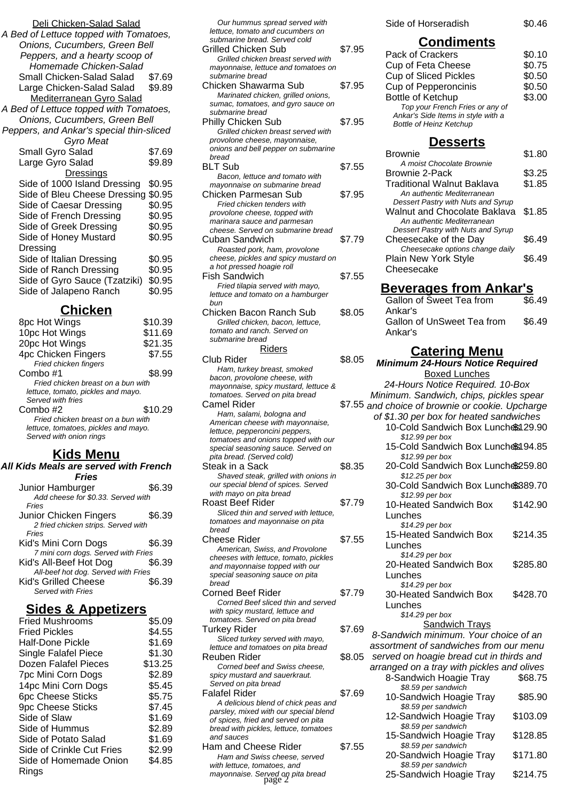| Deli Chicken-Salad Salad<br>A Bed of Lettuce topped with Tomatoes,<br>Onions, Cucumbers, Green Bell<br>Peppers, and a hearty scoop of<br>Homemade Chicken-Salad |                                      |
|-----------------------------------------------------------------------------------------------------------------------------------------------------------------|--------------------------------------|
| Small Chicken-Salad Salad<br>Large Chicken-Salad Salad<br><b>Mediterranean Gyro Salad</b>                                                                       | \$7.69<br>\$9.89                     |
| A Bed of Lettuce topped with Tomatoes,                                                                                                                          |                                      |
| Onions, Cucumbers, Green Bell<br>Peppers, and Ankar's special thin-sliced<br>Gyro Meat                                                                          |                                      |
| Small Gyro Salad                                                                                                                                                | \$7.69                               |
| Large Gyro Salad                                                                                                                                                | \$9.89                               |
| <b>Dressings</b>                                                                                                                                                |                                      |
| Side of 1000 Island Dressing                                                                                                                                    | \$0.95                               |
| Side of Bleu Cheese Dressing                                                                                                                                    | \$0.95                               |
| Side of Caesar Dressing                                                                                                                                         | \$0.95                               |
| Side of French Dressing                                                                                                                                         | \$0.95                               |
| Side of Greek Dressing                                                                                                                                          | \$0.95                               |
| Side of Honey Mustard                                                                                                                                           | \$0.95                               |
| Dressing<br>Side of Italian Dressing<br>Side of Ranch Dressing<br>Side of Gyro Sauce (Tzatziki)<br>Side of Jalapeno Ranch                                       | \$0.95<br>\$0.95<br>\$0.95<br>\$0.95 |

### **Chicken**

| 8pc Hot Wings                        | \$10.39 |
|--------------------------------------|---------|
| 10pc Hot Wings                       | \$11.69 |
| 20pc Hot Wings                       | \$21.35 |
| <b>4pc Chicken Fingers</b>           | \$7.55  |
| Fried chicken fingers                |         |
| Combo #1                             | \$8.99  |
| Fried chicken breast on a bun with   |         |
| lettuce, tomato, pickles and mayo.   |         |
| Served with fries                    |         |
| Combo #2                             | \$10.29 |
| Fried chicken breast on a bun with   |         |
| lettuce, tomatoes, pickles and mayo. |         |
| Served with onion rings              |         |
|                                      |         |

## **Kids Menu**

| All Kids Meals are served with French |        |
|---------------------------------------|--------|
| <b>Fries</b>                          |        |
| Junior Hamburger                      | \$6.39 |
| Add cheese for \$0.33. Served with    |        |
| Fries                                 |        |
| Junior Chicken Fingers                | \$6.39 |
| 2 fried chicken strips. Served with   |        |
| Fries                                 |        |
| Kid's Mini Corn Dogs                  | \$6.39 |
| 7 mini corn dogs. Served with Fries   |        |
| Kid's All-Beef Hot Dog                | \$6.39 |
| All-beef hot dog. Served with Fries   |        |
| <b>Kid's Grilled Cheese</b>           | \$6.39 |
| Served with Fries                     |        |

#### **Sides & Appetizers**

| <b>Fried Mushrooms</b>    | \$5.09  |
|---------------------------|---------|
| <b>Fried Pickles</b>      | \$4.55  |
| Half-Done Pickle          | \$1.69  |
| Single Falafel Piece      | \$1.30  |
| Dozen Falafel Pieces      | \$13.25 |
| 7pc Mini Corn Dogs        | \$2.89  |
| 14pc Mini Corn Dogs       | \$5.45  |
| <b>6pc Cheese Sticks</b>  | \$5.75  |
| <b>9pc Cheese Sticks</b>  | \$7.45  |
| Side of Slaw              | \$1.69  |
| Side of Hummus            | \$2.89  |
| Side of Potato Salad      | \$1.69  |
| Side of Crinkle Cut Fries | \$2.99  |
| Side of Homemade Onion    | \$4.85  |
| Rings                     |         |

| Our hummus spread served with<br>lettuce, tomato and cucumbers on            |        | Side of Horseradish                                                             | \$0.46   |
|------------------------------------------------------------------------------|--------|---------------------------------------------------------------------------------|----------|
| submarine bread. Served cold                                                 |        | <b>Condiments</b>                                                               |          |
| Grilled Chicken Sub                                                          | \$7.95 | Pack of Crackers                                                                | \$0.10   |
| Grilled chicken breast served with                                           |        | <b>Cup of Feta Cheese</b>                                                       | \$0.75   |
| mayonnaise, lettuce and tomatoes on<br>submarine bread                       |        | <b>Cup of Sliced Pickles</b>                                                    | \$0.50   |
| Chicken Shawarma Sub                                                         | \$7.95 | <b>Cup of Pepperoncinis</b>                                                     | \$0.50   |
| Marinated chicken, grilled onions,                                           |        | Bottle of Ketchup                                                               | \$3.00   |
| sumac, tomatoes, and gyro sauce on                                           |        | Top your French Fries or any of                                                 |          |
| submarine bread                                                              |        | Ankar's Side Items in style with a                                              |          |
| <b>Philly Chicken Sub</b><br>Grilled chicken breast served with              | \$7.95 | <b>Bottle of Heinz Ketchup</b>                                                  |          |
| provolone cheese, mayonnaise,                                                |        | <b>Desserts</b>                                                                 |          |
| onions and bell pepper on submarine                                          |        |                                                                                 | \$1.80   |
| bread                                                                        |        | <b>Brownie</b><br>A moist Chocolate Brownie                                     |          |
| <b>BLT Sub</b>                                                               | \$7.55 | <b>Brownie 2-Pack</b>                                                           | \$3.25   |
| Bacon, lettuce and tomato with<br>mayonnaise on submarine bread              |        | Traditional Walnut Baklava                                                      | \$1.85   |
| Chicken Parmesan Sub                                                         | \$7.95 | An authentic Mediterranean                                                      |          |
| Fried chicken tenders with                                                   |        | Dessert Pastry with Nuts and Syrup                                              |          |
| provolone cheese, topped with                                                |        | Walnut and Chocolate Baklava                                                    | \$1.85   |
| marinara sauce and parmesan                                                  |        | An authentic Mediterranean                                                      |          |
| cheese. Served on submarine bread<br>Cuban Sandwich                          | \$7.79 | Dessert Pastry with Nuts and Syrup<br>Cheesecake of the Day                     | \$6.49   |
| Roasted pork, ham, provolone                                                 |        | Cheesecake options change daily                                                 |          |
| cheese, pickles and spicy mustard on                                         |        | Plain New York Style                                                            | \$6.49   |
| a hot pressed hoagie roll                                                    |        | Cheesecake                                                                      |          |
| Fish Sandwich                                                                | \$7.55 |                                                                                 |          |
| Fried tilapia served with mayo,<br>lettuce and tomato on a hamburger         |        | <u>Beverages from Ankar's</u>                                                   |          |
| bun                                                                          |        | Gallon of Sweet Tea from                                                        | \$6.49   |
| Chicken Bacon Ranch Sub                                                      | \$8.05 | Ankar's                                                                         |          |
| Grilled chicken, bacon, lettuce,                                             |        | Gallon of UnSweet Tea from                                                      | \$6.49   |
| tomato and ranch. Served on                                                  |        | Ankar's                                                                         |          |
| submarine bread<br><u>Riders</u>                                             |        |                                                                                 |          |
| Club Rider                                                                   | \$8.05 | <b>Catering Menu</b>                                                            |          |
| Ham, turkey breast, smoked                                                   |        | <b>Minimum 24-Hours Notice Required</b>                                         |          |
| bacon, provolone cheese, with                                                |        | <b>Boxed Lunches</b><br>24-Hours Notice Required. 10-Box                        |          |
| mayonnaise, spicy mustard, lettuce &<br>tomatoes. Served on pita bread       |        | Minimum. Sandwich, chips, pickles spear                                         |          |
| <b>Camel Rider</b>                                                           |        | \$7.55 and choice of brownie or cookie. Upcharge                                |          |
| Ham, salami, bologna and                                                     |        |                                                                                 |          |
|                                                                              |        |                                                                                 |          |
| American cheese with mayonnaise,                                             |        | of \$1.30 per box for heated sandwiches                                         |          |
| lettuce, pepperoncini peppers,                                               |        | 10-Cold Sandwich Box Lunches 29.90                                              |          |
| tomatoes and onions topped with our                                          |        | \$12.99 per box                                                                 |          |
| special seasoning sauce. Served on<br>pita bread. (Served cold)              |        | 15-Cold Sandwich Box Lunches 94.85<br>\$12.99 per box                           |          |
| Steak in a Sack                                                              | \$8.35 | 20-Cold Sandwich Box Lunche \$259.80                                            |          |
| Shaved steak, grilled with onions in                                         |        | \$12.25 per box                                                                 |          |
| our special blend of spices. Served                                          |        | 30-Cold Sandwich Box Lunche\$389.70                                             |          |
| with mayo on pita bread<br><b>Roast Beef Rider</b>                           |        | \$12.99 per box                                                                 |          |
| Sliced thin and served with lettuce,                                         | \$7.79 | 10-Heated Sandwich Box                                                          | \$142.90 |
| tomatoes and mayonnaise on pita                                              |        | Lunches                                                                         |          |
| bread                                                                        |        | \$14.29 per box<br>15-Heated Sandwich Box                                       | \$214.35 |
| Cheese Rider                                                                 | \$7.55 | Lunches                                                                         |          |
| American, Swiss, and Provolone                                               |        | \$14.29 per box                                                                 |          |
| cheeses with lettuce, tomato, pickles<br>and mayonnaise topped with our      |        | 20-Heated Sandwich Box                                                          | \$285.80 |
| special seasoning sauce on pita                                              |        | Lunches                                                                         |          |
| bread                                                                        |        | \$14.29 per box                                                                 |          |
| Corned Beef Rider                                                            | \$7.79 | 30-Heated Sandwich Box                                                          | \$428.70 |
| Corned Beef sliced thin and served<br>with spicy mustard, lettuce and        |        | Lunches                                                                         |          |
| tomatoes. Served on pita bread                                               |        | $$14.29$ per box                                                                |          |
| Turkey Rider                                                                 | \$7.69 | <b>Sandwich Trays</b>                                                           |          |
| Sliced turkey served with mayo,                                              |        | 8-Sandwich minimum. Your choice of an<br>assortment of sandwiches from our menu |          |
| lettuce and tomatoes on pita bread                                           |        |                                                                                 |          |
| Reuben Rider<br>Corned beef and Swiss cheese,                                | \$8.05 | served on hoagie bread cut in thirds and                                        |          |
| spicy mustard and sauerkraut.                                                |        | arranged on a tray with pickles and olives<br>8-Sandwich Hoagie Tray            | \$68.75  |
| Served on pita bread                                                         |        | \$8.59 per sandwich                                                             |          |
| <b>Falafel Rider</b>                                                         | \$7.69 | 10-Sandwich Hoagie Tray                                                         | \$85.90  |
| A delicious blend of chick peas and<br>parsley, mixed with our special blend |        | \$8.59 per sandwich                                                             |          |
| of spices, fried and served on pita                                          |        | 12-Sandwich Hoagie Tray                                                         | \$103.09 |
| bread with pickles, lettuce, tomatoes                                        |        | \$8.59 per sandwich                                                             |          |
| and sauces                                                                   |        | 15-Sandwich Hoagie Tray<br>\$8.59 per sandwich                                  | \$128.85 |
| Ham and Cheese Rider<br>Ham and Swiss cheese, served                         | \$7.55 | 20-Sandwich Hoagie Tray                                                         | \$171.80 |
| with lettuce, tomatoes, and<br>mayonnaise. Served on pita bread              |        | \$8.59 per sandwich<br>25-Sandwich Hoagie Tray                                  | \$214.75 |

#### **Condiments**

| Pack of Crackers                   | \$0.10 |
|------------------------------------|--------|
| Cup of Feta Cheese                 | \$0.75 |
| <b>Cup of Sliced Pickles</b>       | \$0.50 |
| <b>Cup of Pepperoncinis</b>        | \$0.50 |
| Bottle of Ketchup                  | \$3.00 |
| Top your French Fries or any of    |        |
| Ankar's Side Items in style with a |        |
| <b>Bottle of Heinz Ketchup</b>     |        |
|                                    |        |

#### **Desserts**

| <b>Brownie</b>                     | \$1.80 |
|------------------------------------|--------|
| A moist Chocolate Brownie          |        |
| Brownie 2-Pack                     | \$3.25 |
| Traditional Walnut Baklava         | \$1.85 |
| An authentic Mediterranean         |        |
| Dessert Pastry with Nuts and Syrup |        |
| Walnut and Chocolate Baklava       | \$1.85 |
| An authentic Mediterranean         |        |
| Dessert Pastry with Nuts and Syrup |        |
| Cheesecake of the Day              | \$6.49 |
| Cheesecake options change daily    |        |
| Plain New York Style               | S6.49  |
| Cheesecake                         |        |
|                                    |        |

#### **Beverages from Ankar's**

| Gallon of Sweet Tea from              | \$6.49 |
|---------------------------------------|--------|
| Ankar's<br>Gallon of UnSweet Tea from | \$6.49 |
| Ankar's                               |        |

#### **Catering Menu**